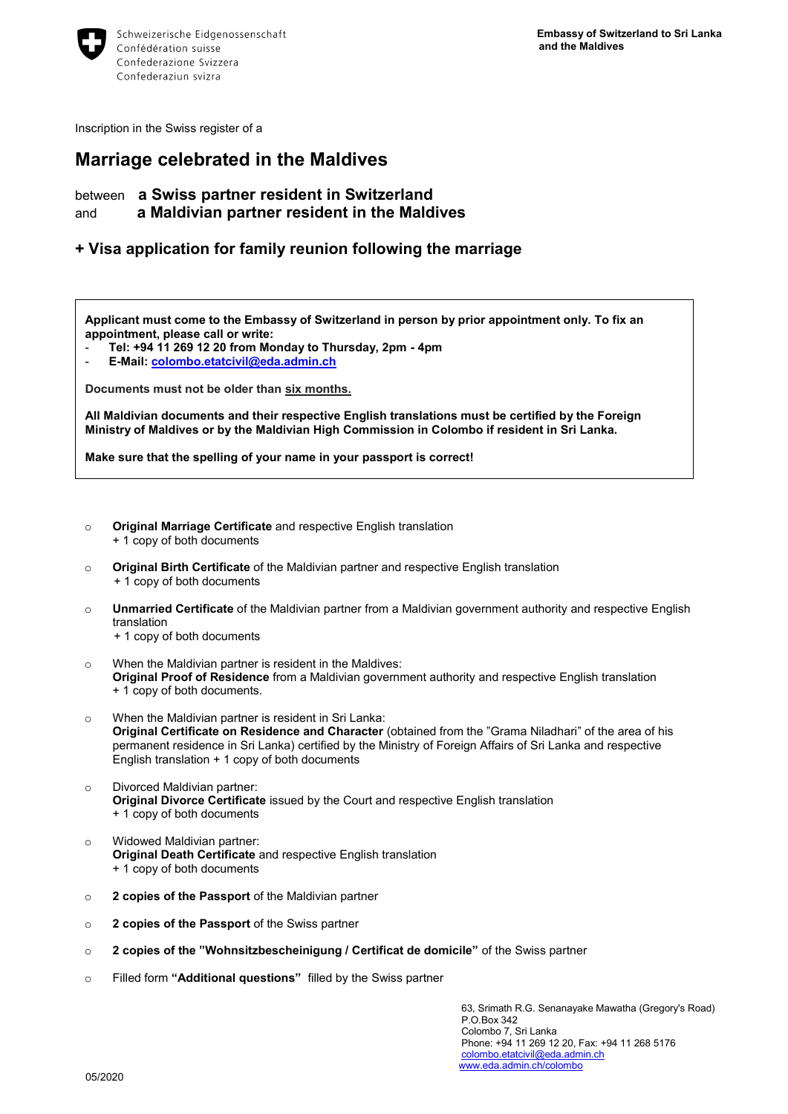

Inscription in the Swiss register of a

## **Marriage celebrated in the Maldives**

between **a Swiss partner resident in Switzerland** and **a Maldivian partner resident in the Maldives** 

## **+ Visa application for family reunion following the marriage**

**Applicant must come to the Embassy of Switzerland in person by prior appointment only. To fix an appointment, please call or write:**

- **Tel: +94 11 269 12 20 from Monday to Thursday, 2pm - 4pm**
- **E-Mail: [colombo.etatcivil@eda.admin.ch](mailto:colombo.etatcivil@eda.admin.ch)**

**Documents must not be older than six months.**

**All Maldivian documents and their respective English translations must be certified by the Foreign Ministry of Maldives or by the Maldivian High Commission in Colombo if resident in Sri Lanka.**

**Make sure that the spelling of your name in your passport is correct!**

- o **Original Marriage Certificate** and respective English translation
	- + 1 copy of both documents
- o **Original Birth Certificate** of the Maldivian partner and respective English translation + 1 copy of both documents
- o **Unmarried Certificate** of the Maldivian partner from a Maldivian government authority and respective English translation

+ 1 copy of both documents

- o When the Maldivian partner is resident in the Maldives: **Original Proof of Residence** from a Maldivian government authority and respective English translation
	- + 1 copy of both documents.
- o When the Maldivian partner is resident in Sri Lanka: **Original Certificate on Residence and Character** (obtained from the "Grama Niladhari" of the area of his permanent residence in Sri Lanka) certified by the Ministry of Foreign Affairs of Sri Lanka and respective English translation + 1 copy of both documents
- o Divorced Maldivian partner: **Original Divorce Certificate** issued by the Court and respective English translation + 1 copy of both documents
- o Widowed Maldivian partner: **Original Death Certificate** and respective English translation + 1 copy of both documents
- o **2 copies of the Passport** of the Maldivian partner
- o **2 copies of the Passport** of the Swiss partner
- o **2 copies of the "Wohnsitzbescheinigung / Certificat de domicile"** of the Swiss partner
- o Filled form **"Additional questions"** filled by the Swiss partner